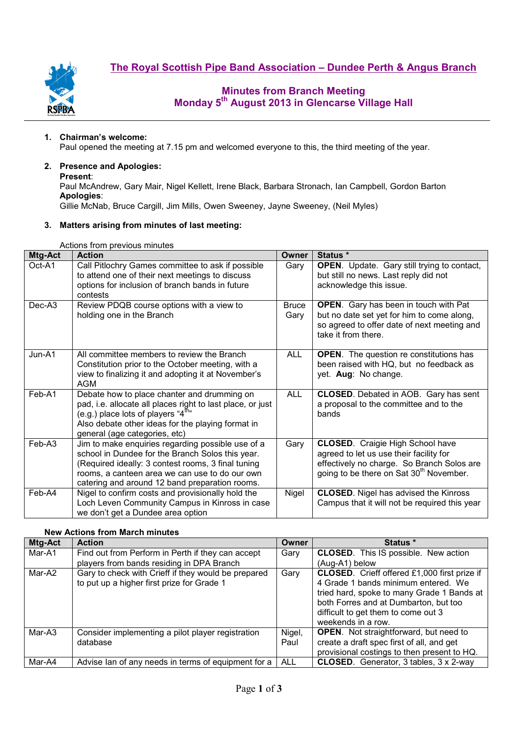**The Royal Scottish Pipe Band Association – Dundee Perth & Angus Branch**



# **Minutes from Branch Meeting Monday 5th August 2013 in Glencarse Village Hall**

#### **1. Chairman's welcome:**

Paul opened the meeting at 7.15 pm and welcomed everyone to this, the third meeting of the year.

# **2. Presence and Apologies:**

**Present**:

Paul McAndrew, Gary Mair, Nigel Kellett, Irene Black, Barbara Stronach, Ian Campbell, Gordon Barton **Apologies**:

Gillie McNab, Bruce Cargill, Jim Mills, Owen Sweeney, Jayne Sweeney, (Neil Myles)

#### **3. Matters arising from minutes of last meeting:**

Actions from previous minutes

| Actions from previous minutes |                                                                                                                                                                                                                                                                 |                      |                                                                                                                                                                                         |  |  |  |
|-------------------------------|-----------------------------------------------------------------------------------------------------------------------------------------------------------------------------------------------------------------------------------------------------------------|----------------------|-----------------------------------------------------------------------------------------------------------------------------------------------------------------------------------------|--|--|--|
| Mtg-Act                       | <b>Action</b>                                                                                                                                                                                                                                                   | Owner                | Status *                                                                                                                                                                                |  |  |  |
| Oct-A1                        | Call Pitlochry Games committee to ask if possible<br>to attend one of their next meetings to discuss<br>options for inclusion of branch bands in future<br>contests                                                                                             | Gary                 | <b>OPEN.</b> Update. Gary still trying to contact,<br>but still no news. Last reply did not<br>acknowledge this issue.                                                                  |  |  |  |
| Dec-A <sub>3</sub>            | Review PDQB course options with a view to<br>holding one in the Branch                                                                                                                                                                                          | <b>Bruce</b><br>Gary | <b>OPEN.</b> Gary has been in touch with Pat<br>but no date set yet for him to come along,<br>so agreed to offer date of next meeting and<br>take it from there.                        |  |  |  |
| Jun-A1                        | All committee members to review the Branch<br>Constitution prior to the October meeting, with a<br>view to finalizing it and adopting it at November's<br><b>AGM</b>                                                                                            | <b>ALL</b>           | <b>OPEN.</b> The question re constitutions has<br>been raised with HQ, but no feedback as<br>yet. Aug: No change.                                                                       |  |  |  |
| Feb-A1                        | Debate how to place chanter and drumming on<br>pad, i.e. allocate all places right to last place, or just<br>(e.g.) place lots of players " $4^{\text{th}}$ "<br>Also debate other ideas for the playing format in<br>general (age categories, etc)             | <b>ALL</b>           | <b>CLOSED.</b> Debated in AOB. Gary has sent<br>a proposal to the committee and to the<br>bands                                                                                         |  |  |  |
| Feb-A3                        | Jim to make enquiries regarding possible use of a<br>school in Dundee for the Branch Solos this year.<br>(Required ideally: 3 contest rooms, 3 final tuning<br>rooms, a canteen area we can use to do our own<br>catering and around 12 band preparation rooms. | Gary                 | <b>CLOSED.</b> Craigie High School have<br>agreed to let us use their facility for<br>effectively no charge. So Branch Solos are<br>going to be there on Sat 30 <sup>th</sup> November. |  |  |  |
| Feb-A4                        | Nigel to confirm costs and provisionally hold the<br>Loch Leven Community Campus in Kinross in case<br>we don't get a Dundee area option                                                                                                                        | Nigel                | <b>CLOSED.</b> Nigel has advised the Kinross<br>Campus that it will not be required this year                                                                                           |  |  |  |

## **New Actions from March minutes**

| <b>Mtg-Act</b> | <b>Action</b>                                       | Owner      | Status *                                            |  |  |  |
|----------------|-----------------------------------------------------|------------|-----------------------------------------------------|--|--|--|
| Mar-A1         | Find out from Perform in Perth if they can accept   | Gary       | <b>CLOSED.</b> This IS possible. New action         |  |  |  |
|                | players from bands residing in DPA Branch           |            | (Aug-A1) below                                      |  |  |  |
| Mar-A2         | Gary to check with Crieff if they would be prepared | Gary       | <b>CLOSED.</b> Crieff offered £1,000 first prize if |  |  |  |
|                | to put up a higher first prize for Grade 1          |            | 4 Grade 1 bands minimum entered. We                 |  |  |  |
|                |                                                     |            | tried hard, spoke to many Grade 1 Bands at          |  |  |  |
|                |                                                     |            | both Forres and at Dumbarton, but too               |  |  |  |
|                |                                                     |            | difficult to get them to come out 3                 |  |  |  |
|                |                                                     |            | weekends in a row.                                  |  |  |  |
| Mar-A3         | Consider implementing a pilot player registration   | Nigel,     | <b>OPEN.</b> Not straightforward, but need to       |  |  |  |
|                | database                                            | Paul       | create a draft spec first of all, and get           |  |  |  |
|                |                                                     |            | provisional costings to then present to HQ.         |  |  |  |
| Mar-A4         | Advise Ian of any needs in terms of equipment for a | <b>ALL</b> | CLOSED. Generator, 3 tables, 3 x 2-way              |  |  |  |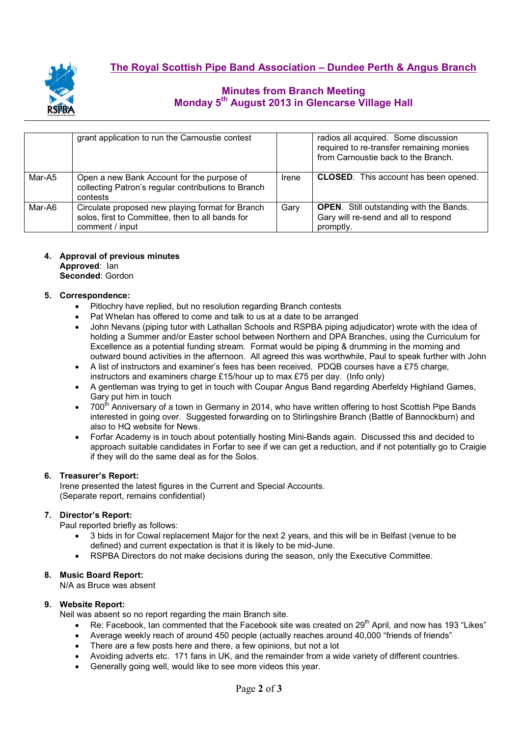

# **Minutes from Branch Meeting Monday 5th August 2013 in Glencarse Village Hall**

|        | grant application to run the Carnoustie contest                                                                         |       | radios all acquired. Some discussion<br>required to re-transfer remaining monies<br>from Carnoustie back to the Branch. |
|--------|-------------------------------------------------------------------------------------------------------------------------|-------|-------------------------------------------------------------------------------------------------------------------------|
| Mar-A5 | Open a new Bank Account for the purpose of<br>collecting Patron's regular contributions to Branch<br>contests           | Irene | <b>CLOSED.</b> This account has been opened.                                                                            |
| Mar-A6 | Circulate proposed new playing format for Branch<br>solos, first to Committee, then to all bands for<br>comment / input | Gary  | <b>OPEN.</b> Still outstanding with the Bands.<br>Gary will re-send and all to respond<br>promptly.                     |

## **4. Approval of previous minutes**

**Approved**: Ian **Seconded**: Gordon

### **5. Correspondence:**

- Pitlochry have replied, but no resolution regarding Branch contests
- Pat Whelan has offered to come and talk to us at a date to be arranged
- John Nevans (piping tutor with Lathallan Schools and RSPBA piping adjudicator) wrote with the idea of holding a Summer and/or Easter school between Northern and DPA Branches, using the Curriculum for Excellence as a potential funding stream. Format would be piping & drumming in the morning and outward bound activities in the afternoon. All agreed this was worthwhile, Paul to speak further with John
- A list of instructors and examiner's fees has been received. PDQB courses have a £75 charge, instructors and examiners charge £15/hour up to max £75 per day. (Info only)
- A gentleman was trying to get in touch with Coupar Angus Band regarding Aberfeldy Highland Games, Gary put him in touch
- 700<sup>th</sup> Anniversary of a town in Germany in 2014, who have written offering to host Scottish Pipe Bands interested in going over. Suggested forwarding on to Stirlingshire Branch (Battle of Bannockburn) and also to HQ website for News.
- Forfar Academy is in touch about potentially hosting Mini-Bands again. Discussed this and decided to approach suitable candidates in Forfar to see if we can get a reduction, and if not potentially go to Craigie if they will do the same deal as for the Solos.

#### **6. Treasurer's Report:**

Irene presented the latest figures in the Current and Special Accounts. (Separate report, remains confidential)

#### **7. Director's Report:**

Paul reported briefly as follows:

- 3 bids in for Cowal replacement Major for the next 2 years, and this will be in Belfast (venue to be defined) and current expectation is that it is likely to be mid-June.
- RSPBA Directors do not make decisions during the season, only the Executive Committee.

#### **8. Music Board Report:**

N/A as Bruce was absent

#### **9. Website Report:**

Neil was absent so no report regarding the main Branch site.

- Re: Facebook, Ian commented that the Facebook site was created on  $29<sup>th</sup>$  April, and now has 193 "Likes"
- Average weekly reach of around 450 people (actually reaches around 40,000 "friends of friends"
- There are a few posts here and there, a few opinions, but not a lot
- Avoiding adverts etc. 171 fans in UK, and the remainder from a wide variety of different countries.
- Generally going well, would like to see more videos this year.